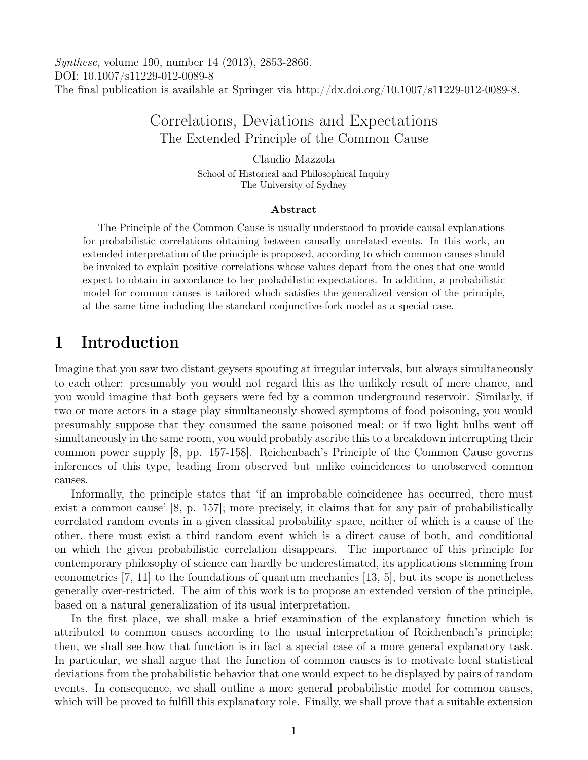Synthese, volume 190, number 14 (2013), 2853-2866. DOI: 10.1007/s11229-012-0089-8 The final publication is available at Springer via http://dx.doi.org/10.1007/s11229-012-0089-8.

# Correlations, Deviations and Expectations The Extended Principle of the Common Cause

Claudio Mazzola School of Historical and Philosophical Inquiry The University of Sydney

#### Abstract

The Principle of the Common Cause is usually understood to provide causal explanations for probabilistic correlations obtaining between causally unrelated events. In this work, an extended interpretation of the principle is proposed, according to which common causes should be invoked to explain positive correlations whose values depart from the ones that one would expect to obtain in accordance to her probabilistic expectations. In addition, a probabilistic model for common causes is tailored which satisfies the generalized version of the principle, at the same time including the standard conjunctive-fork model as a special case.

### 1 Introduction

Imagine that you saw two distant geysers spouting at irregular intervals, but always simultaneously to each other: presumably you would not regard this as the unlikely result of mere chance, and you would imagine that both geysers were fed by a common underground reservoir. Similarly, if two or more actors in a stage play simultaneously showed symptoms of food poisoning, you would presumably suppose that they consumed the same poisoned meal; or if two light bulbs went off simultaneously in the same room, you would probably ascribe this to a breakdown interrupting their common power supply [8, pp. 157-158]. Reichenbach's Principle of the Common Cause governs inferences of this type, leading from observed but unlike coincidences to unobserved common causes.

Informally, the principle states that 'if an improbable coincidence has occurred, there must exist a common cause' [8, p. 157]; more precisely, it claims that for any pair of probabilistically correlated random events in a given classical probability space, neither of which is a cause of the other, there must exist a third random event which is a direct cause of both, and conditional on which the given probabilistic correlation disappears. The importance of this principle for contemporary philosophy of science can hardly be underestimated, its applications stemming from econometrics [7, 11] to the foundations of quantum mechanics [13, 5], but its scope is nonetheless generally over-restricted. The aim of this work is to propose an extended version of the principle, based on a natural generalization of its usual interpretation.

In the first place, we shall make a brief examination of the explanatory function which is attributed to common causes according to the usual interpretation of Reichenbach's principle; then, we shall see how that function is in fact a special case of a more general explanatory task. In particular, we shall argue that the function of common causes is to motivate local statistical deviations from the probabilistic behavior that one would expect to be displayed by pairs of random events. In consequence, we shall outline a more general probabilistic model for common causes, which will be proved to fulfill this explanatory role. Finally, we shall prove that a suitable extension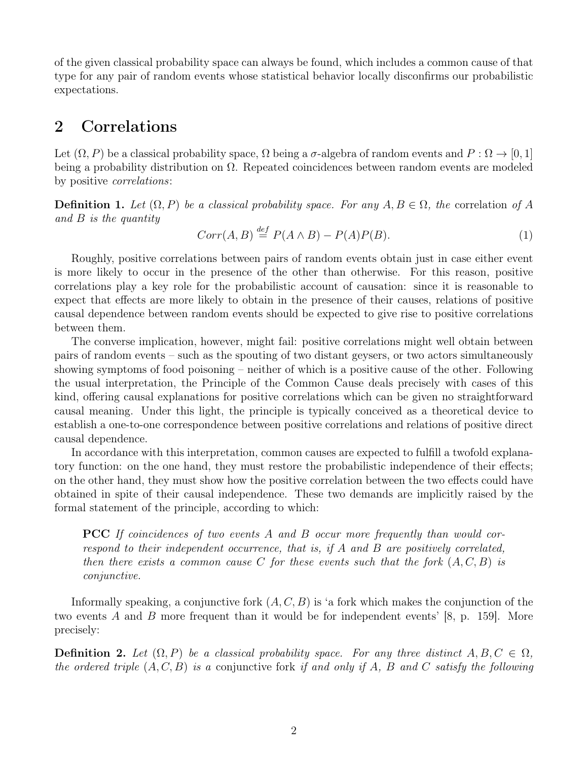of the given classical probability space can always be found, which includes a common cause of that type for any pair of random events whose statistical behavior locally disconfirms our probabilistic expectations.

### 2 Correlations

Let  $(\Omega, P)$  be a classical probability space,  $\Omega$  being a  $\sigma$ -algebra of random events and  $P : \Omega \to [0, 1]$ being a probability distribution on  $\Omega$ . Repeated coincidences between random events are modeled by positive correlations:

**Definition 1.** Let  $(\Omega, P)$  be a classical probability space. For any  $A, B \in \Omega$ , the correlation of A and B is the quantity

$$
Corr(A, B) \stackrel{def}{=} P(A \wedge B) - P(A)P(B). \tag{1}
$$

Roughly, positive correlations between pairs of random events obtain just in case either event is more likely to occur in the presence of the other than otherwise. For this reason, positive correlations play a key role for the probabilistic account of causation: since it is reasonable to expect that effects are more likely to obtain in the presence of their causes, relations of positive causal dependence between random events should be expected to give rise to positive correlations between them.

The converse implication, however, might fail: positive correlations might well obtain between pairs of random events – such as the spouting of two distant geysers, or two actors simultaneously showing symptoms of food poisoning – neither of which is a positive cause of the other. Following the usual interpretation, the Principle of the Common Cause deals precisely with cases of this kind, offering causal explanations for positive correlations which can be given no straightforward causal meaning. Under this light, the principle is typically conceived as a theoretical device to establish a one-to-one correspondence between positive correlations and relations of positive direct causal dependence.

In accordance with this interpretation, common causes are expected to fulfill a twofold explanatory function: on the one hand, they must restore the probabilistic independence of their effects; on the other hand, they must show how the positive correlation between the two effects could have obtained in spite of their causal independence. These two demands are implicitly raised by the formal statement of the principle, according to which:

PCC If coincidences of two events A and B occur more frequently than would correspond to their independent occurrence, that is, if A and B are positively correlated, then there exists a common cause C for these events such that the fork  $(A, C, B)$  is conjunctive.

Informally speaking, a conjunctive fork  $(A, C, B)$  is 'a fork which makes the conjunction of the two events A and B more frequent than it would be for independent events' [8, p. 159]. More precisely:

**Definition 2.** Let  $(\Omega, P)$  be a classical probability space. For any three distinct  $A, B, C \in \Omega$ , the ordered triple  $(A, C, B)$  is a conjunctive fork if and only if A, B and C satisfy the following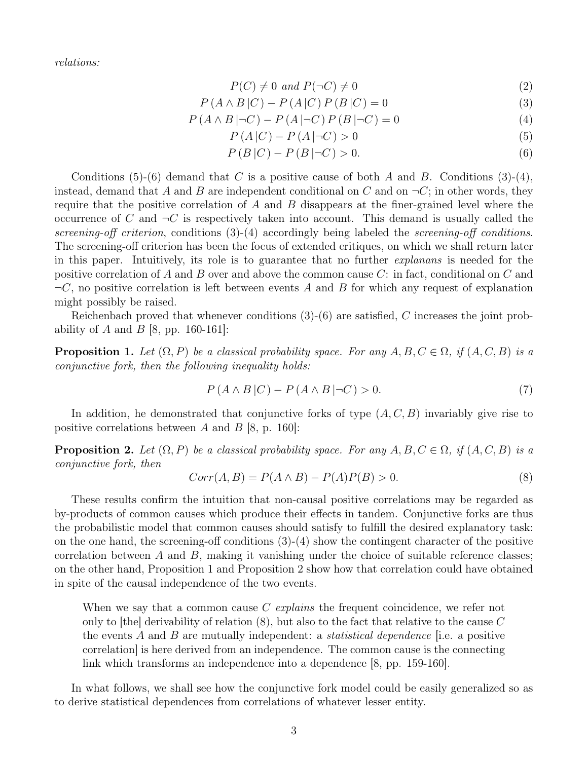relations:

$$
P(C) \neq 0 \text{ and } P(\neg C) \neq 0 \tag{2}
$$

$$
P(A \wedge B|C) - P(A|C)P(B|C) = 0
$$
\n<sup>(3)</sup>

$$
P(A \wedge B|\neg C) - P(A|\neg C)P(B|\neg C) = 0 \tag{4}
$$

$$
P(A|C) - P(A|\neg C) > 0\tag{5}
$$

$$
P(B|C) - P(B|\neg C) > 0.
$$
\n(6)

Conditions (5)-(6) demand that C is a positive cause of both A and B. Conditions (3)-(4), instead, demand that A and B are independent conditional on C and on  $\neg C$ ; in other words, they require that the positive correlation of A and B disappears at the finer-grained level where the occurrence of C and  $\neg C$  is respectively taken into account. This demand is usually called the screening-off criterion, conditions  $(3)-(4)$  accordingly being labeled the screening-off conditions. The screening-off criterion has been the focus of extended critiques, on which we shall return later in this paper. Intuitively, its role is to guarantee that no further explanans is needed for the positive correlation of A and B over and above the common cause  $C$ : in fact, conditional on C and  $\neg C$ , no positive correlation is left between events A and B for which any request of explanation might possibly be raised.

Reichenbach proved that whenever conditions  $(3)-(6)$  are satisfied, C increases the joint probability of A and B [8, pp. 160-161]:

**Proposition 1.** Let  $(\Omega, P)$  be a classical probability space. For any  $A, B, C \in \Omega$ , if  $(A, C, B)$  is a conjunctive fork, then the following inequality holds:

$$
P(A \wedge B|C) - P(A \wedge B|\neg C) > 0. \tag{7}
$$

In addition, he demonstrated that conjunctive forks of type  $(A, C, B)$  invariably give rise to positive correlations between A and B [8, p. 160]:

**Proposition 2.** Let  $(\Omega, P)$  be a classical probability space. For any  $A, B, C \in \Omega$ , if  $(A, C, B)$  is a conjunctive fork, then

$$
Corr(A, B) = P(A \wedge B) - P(A)P(B) > 0.
$$
\n
$$
(8)
$$

These results confirm the intuition that non-causal positive correlations may be regarded as by-products of common causes which produce their effects in tandem. Conjunctive forks are thus the probabilistic model that common causes should satisfy to fulfill the desired explanatory task: on the one hand, the screening-off conditions  $(3)-(4)$  show the contingent character of the positive correlation between  $A$  and  $B$ , making it vanishing under the choice of suitable reference classes; on the other hand, Proposition 1 and Proposition 2 show how that correlation could have obtained in spite of the causal independence of the two events.

When we say that a common cause  $C$  explains the frequent coincidence, we refer not only to [the] derivability of relation  $(8)$ , but also to the fact that relative to the cause C the events A and B are mutually independent: a *statistical dependence* [i.e. a positive correlation] is here derived from an independence. The common cause is the connecting link which transforms an independence into a dependence [8, pp. 159-160].

In what follows, we shall see how the conjunctive fork model could be easily generalized so as to derive statistical dependences from correlations of whatever lesser entity.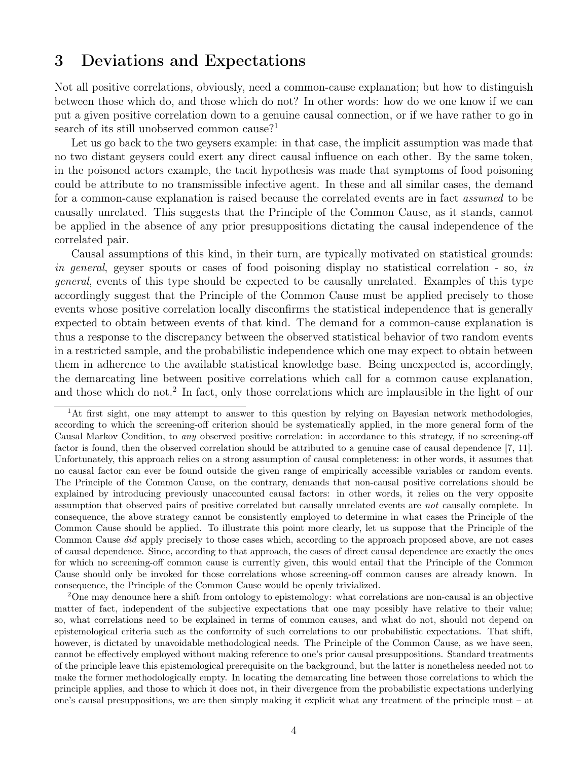## 3 Deviations and Expectations

Not all positive correlations, obviously, need a common-cause explanation; but how to distinguish between those which do, and those which do not? In other words: how do we one know if we can put a given positive correlation down to a genuine causal connection, or if we have rather to go in search of its still unobserved common cause?<sup>1</sup>

Let us go back to the two geysers example: in that case, the implicit assumption was made that no two distant geysers could exert any direct causal influence on each other. By the same token, in the poisoned actors example, the tacit hypothesis was made that symptoms of food poisoning could be attribute to no transmissible infective agent. In these and all similar cases, the demand for a common-cause explanation is raised because the correlated events are in fact assumed to be causally unrelated. This suggests that the Principle of the Common Cause, as it stands, cannot be applied in the absence of any prior presuppositions dictating the causal independence of the correlated pair.

Causal assumptions of this kind, in their turn, are typically motivated on statistical grounds: in general, geyser spouts or cases of food poisoning display no statistical correlation - so, in general, events of this type should be expected to be causally unrelated. Examples of this type accordingly suggest that the Principle of the Common Cause must be applied precisely to those events whose positive correlation locally disconfirms the statistical independence that is generally expected to obtain between events of that kind. The demand for a common-cause explanation is thus a response to the discrepancy between the observed statistical behavior of two random events in a restricted sample, and the probabilistic independence which one may expect to obtain between them in adherence to the available statistical knowledge base. Being unexpected is, accordingly, the demarcating line between positive correlations which call for a common cause explanation, and those which do not.<sup>2</sup> In fact, only those correlations which are implausible in the light of our

<sup>2</sup>One may denounce here a shift from ontology to epistemology: what correlations are non-causal is an objective matter of fact, independent of the subjective expectations that one may possibly have relative to their value; so, what correlations need to be explained in terms of common causes, and what do not, should not depend on epistemological criteria such as the conformity of such correlations to our probabilistic expectations. That shift, however, is dictated by unavoidable methodological needs. The Principle of the Common Cause, as we have seen, cannot be effectively employed without making reference to one's prior causal presuppositions. Standard treatments of the principle leave this epistemological prerequisite on the background, but the latter is nonetheless needed not to make the former methodologically empty. In locating the demarcating line between those correlations to which the principle applies, and those to which it does not, in their divergence from the probabilistic expectations underlying one's causal presuppositions, we are then simply making it explicit what any treatment of the principle must – at

<sup>&</sup>lt;sup>1</sup>At first sight, one may attempt to answer to this question by relying on Bayesian network methodologies, according to which the screening-off criterion should be systematically applied, in the more general form of the Causal Markov Condition, to any observed positive correlation: in accordance to this strategy, if no screening-off factor is found, then the observed correlation should be attributed to a genuine case of causal dependence [7, 11]. Unfortunately, this approach relies on a strong assumption of causal completeness: in other words, it assumes that no causal factor can ever be found outside the given range of empirically accessible variables or random events. The Principle of the Common Cause, on the contrary, demands that non-causal positive correlations should be explained by introducing previously unaccounted causal factors: in other words, it relies on the very opposite assumption that observed pairs of positive correlated but causally unrelated events are not causally complete. In consequence, the above strategy cannot be consistently employed to determine in what cases the Principle of the Common Cause should be applied. To illustrate this point more clearly, let us suppose that the Principle of the Common Cause *did* apply precisely to those cases which, according to the approach proposed above, are not cases of causal dependence. Since, according to that approach, the cases of direct causal dependence are exactly the ones for which no screening-off common cause is currently given, this would entail that the Principle of the Common Cause should only be invoked for those correlations whose screening-off common causes are already known. In consequence, the Principle of the Common Cause would be openly trivialized.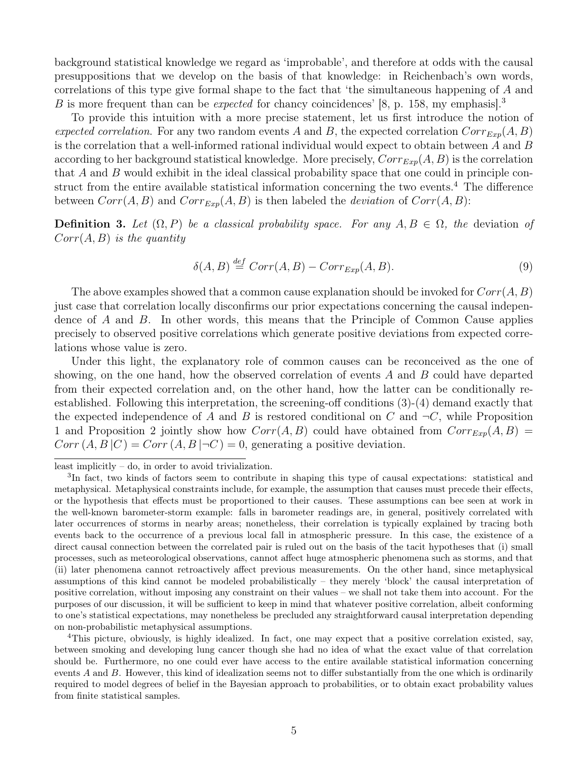background statistical knowledge we regard as 'improbable', and therefore at odds with the causal presuppositions that we develop on the basis of that knowledge: in Reichenbach's own words, correlations of this type give formal shape to the fact that 'the simultaneous happening of A and B is more frequent than can be *expected* for chancy coincidences' [8, p. 158, my emphasis].<sup>3</sup>

To provide this intuition with a more precise statement, let us first introduce the notion of expected correlation. For any two random events A and B, the expected correlation  $Corr_{Exp}(A, B)$ is the correlation that a well-informed rational individual would expect to obtain between A and B according to her background statistical knowledge. More precisely,  $Corr_{Exp}(A, B)$  is the correlation that A and B would exhibit in the ideal classical probability space that one could in principle construct from the entire available statistical information concerning the two events.<sup>4</sup> The difference between  $Corr(A, B)$  and  $Corr_{Exp}(A, B)$  is then labeled the *deviation* of  $Corr(A, B)$ :

**Definition 3.** Let  $(\Omega, P)$  be a classical probability space. For any  $A, B \in \Omega$ , the deviation of  $Corr(A, B)$  is the quantity

$$
\delta(A, B) \stackrel{def}{=} Corr(A, B) - Corr_{Exp}(A, B). \tag{9}
$$

The above examples showed that a common cause explanation should be invoked for  $Corr(A, B)$ just case that correlation locally disconfirms our prior expectations concerning the causal independence of A and B. In other words, this means that the Principle of Common Cause applies precisely to observed positive correlations which generate positive deviations from expected correlations whose value is zero.

Under this light, the explanatory role of common causes can be reconceived as the one of showing, on the one hand, how the observed correlation of events  $A$  and  $B$  could have departed from their expected correlation and, on the other hand, how the latter can be conditionally reestablished. Following this interpretation, the screening-off conditions (3)-(4) demand exactly that the expected independence of A and B is restored conditional on C and  $\neg C$ , while Proposition 1 and Proposition 2 jointly show how  $Corr(A, B)$  could have obtained from  $Corr_{Exp}(A, B)$  =  $Corr(A, B|C) = Corr(A, B|\neg C) = 0$ , generating a positive deviation.

<sup>4</sup>This picture, obviously, is highly idealized. In fact, one may expect that a positive correlation existed, say, between smoking and developing lung cancer though she had no idea of what the exact value of that correlation should be. Furthermore, no one could ever have access to the entire available statistical information concerning events A and B. However, this kind of idealization seems not to differ substantially from the one which is ordinarily required to model degrees of belief in the Bayesian approach to probabilities, or to obtain exact probability values from finite statistical samples.

least implicitly – do, in order to avoid trivialization.

<sup>&</sup>lt;sup>3</sup>In fact, two kinds of factors seem to contribute in shaping this type of causal expectations: statistical and metaphysical. Metaphysical constraints include, for example, the assumption that causes must precede their effects, or the hypothesis that effects must be proportioned to their causes. These assumptions can bee seen at work in the well-known barometer-storm example: falls in barometer readings are, in general, positively correlated with later occurrences of storms in nearby areas; nonetheless, their correlation is typically explained by tracing both events back to the occurrence of a previous local fall in atmospheric pressure. In this case, the existence of a direct causal connection between the correlated pair is ruled out on the basis of the tacit hypotheses that (i) small processes, such as meteorological observations, cannot affect huge atmospheric phenomena such as storms, and that (ii) later phenomena cannot retroactively affect previous measurements. On the other hand, since metaphysical assumptions of this kind cannot be modeled probabilistically – they merely 'block' the causal interpretation of positive correlation, without imposing any constraint on their values – we shall not take them into account. For the purposes of our discussion, it will be sufficient to keep in mind that whatever positive correlation, albeit conforming to one's statistical expectations, may nonetheless be precluded any straightforward causal interpretation depending on non-probabilistic metaphysical assumptions.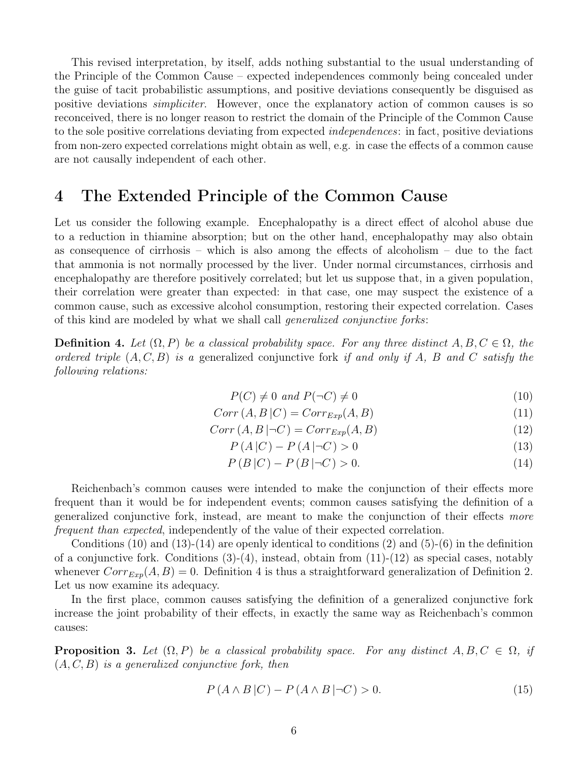This revised interpretation, by itself, adds nothing substantial to the usual understanding of the Principle of the Common Cause – expected independences commonly being concealed under the guise of tacit probabilistic assumptions, and positive deviations consequently be disguised as positive deviations simpliciter. However, once the explanatory action of common causes is so reconceived, there is no longer reason to restrict the domain of the Principle of the Common Cause to the sole positive correlations deviating from expected independences: in fact, positive deviations from non-zero expected correlations might obtain as well, e.g. in case the effects of a common cause are not causally independent of each other.

## 4 The Extended Principle of the Common Cause

Let us consider the following example. Encephalopathy is a direct effect of alcohol abuse due to a reduction in thiamine absorption; but on the other hand, encephalopathy may also obtain as consequence of cirrhosis – which is also among the effects of alcoholism – due to the fact that ammonia is not normally processed by the liver. Under normal circumstances, cirrhosis and encephalopathy are therefore positively correlated; but let us suppose that, in a given population, their correlation were greater than expected: in that case, one may suspect the existence of a common cause, such as excessive alcohol consumption, restoring their expected correlation. Cases of this kind are modeled by what we shall call generalized conjunctive forks:

**Definition 4.** Let  $(\Omega, P)$  be a classical probability space. For any three distinct  $A, B, C \in \Omega$ , the ordered triple  $(A, C, B)$  is a generalized conjunctive fork if and only if A, B and C satisfy the following relations:

$$
P(C) \neq 0 \text{ and } P(\neg C) \neq 0 \tag{10}
$$

$$
Corr(A, B|C) = Corr_{Exp}(A, B)
$$
\n(11)

$$
Corr(A, B | \neg C) = Corr_{Exp}(A, B)
$$
\n
$$
(12)
$$

$$
P(A|C) - P(A|\neg C) > 0\tag{13}
$$

$$
P(B|C) - P(B|\neg C) > 0.
$$
\n(14)

Reichenbach's common causes were intended to make the conjunction of their effects more frequent than it would be for independent events; common causes satisfying the definition of a generalized conjunctive fork, instead, are meant to make the conjunction of their effects more frequent than expected, independently of the value of their expected correlation.

Conditions (10) and (13)-(14) are openly identical to conditions (2) and (5)-(6) in the definition of a conjunctive fork. Conditions  $(3)-(4)$ , instead, obtain from  $(11)-(12)$  as special cases, notably whenever  $Corr_{Exp}(A, B) = 0$ . Definition 4 is thus a straightforward generalization of Definition 2. Let us now examine its adequacy.

In the first place, common causes satisfying the definition of a generalized conjunctive fork increase the joint probability of their effects, in exactly the same way as Reichenbach's common causes:

**Proposition 3.** Let  $(\Omega, P)$  be a classical probability space. For any distinct  $A, B, C \in \Omega$ , if  $(A, C, B)$  is a generalized conjunctive fork, then

$$
P(A \wedge B|C) - P(A \wedge B|\neg C) > 0. \tag{15}
$$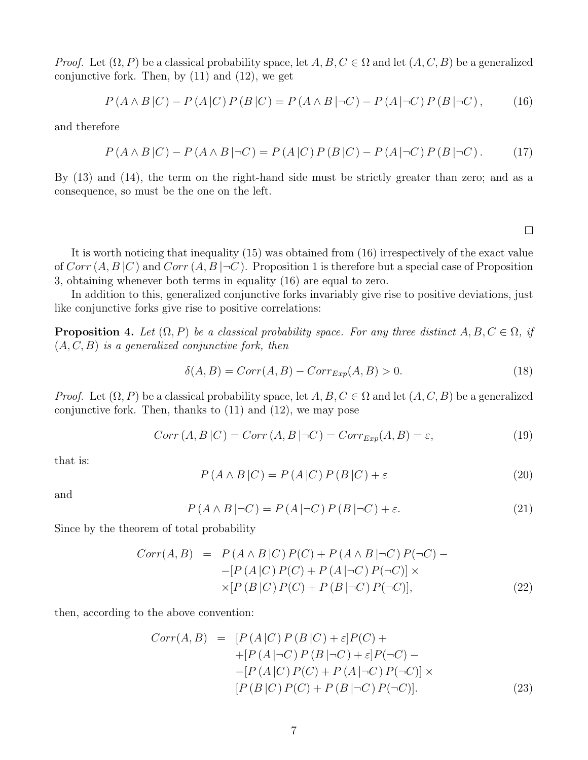*Proof.* Let  $(\Omega, P)$  be a classical probability space, let  $A, B, C \in \Omega$  and let  $(A, C, B)$  be a generalized conjunctive fork. Then, by (11) and (12), we get

$$
P(A \wedge B | C) - P(A | C) P(B | C) = P(A \wedge B | \neg C) - P(A | \neg C) P(B | \neg C), \tag{16}
$$

and therefore

$$
P(A \wedge B | C) - P(A \wedge B | \neg C) = P(A | C) P(B | C) - P(A | \neg C) P(B | \neg C).
$$
 (17)

By (13) and (14), the term on the right-hand side must be strictly greater than zero; and as a consequence, so must be the one on the left.

 $\Box$ 

It is worth noticing that inequality (15) was obtained from (16) irrespectively of the exact value of  $Corr(A, B|C)$  and  $Corr(A, B|\neg C)$ . Proposition 1 is therefore but a special case of Proposition 3, obtaining whenever both terms in equality (16) are equal to zero.

In addition to this, generalized conjunctive forks invariably give rise to positive deviations, just like conjunctive forks give rise to positive correlations:

**Proposition 4.** Let  $(\Omega, P)$  be a classical probability space. For any three distinct  $A, B, C \in \Omega$ , if  $(A, C, B)$  is a generalized conjunctive fork, then

$$
\delta(A, B) = Corr(A, B) - Corr_{Exp}(A, B) > 0.
$$
\n(18)

*Proof.* Let  $(\Omega, P)$  be a classical probability space, let  $A, B, C \in \Omega$  and let  $(A, C, B)$  be a generalized conjunctive fork. Then, thanks to (11) and (12), we may pose

$$
Corr(A, B|C) = Corr(A, B|\neg C) = Corr_{Exp}(A, B) = \varepsilon,
$$
\n(19)

that is:

$$
P(A \wedge B | C) = P(A | C) P(B | C) + \varepsilon
$$
\n(20)

and

$$
P(A \wedge B | \neg C) = P(A | \neg C) P(B | \neg C) + \varepsilon. \tag{21}
$$

Since by the theorem of total probability

$$
Corr(A, B) = P(A \wedge B | C) P(C) + P(A \wedge B | \neg C) P(\neg C) -
$$
  
-[P(A | C) P(C) + P(A | \neg C) P(\neg C)] \times  
\times [P(B | C) P(C) + P(B | \neg C) P(\neg C)], (22)

then, according to the above convention:

$$
Corr(A, B) = [P(A|C) P(B|C) + \varepsilon] P(C) +
$$
  
+ [P(A|\neg C) P(B|\neg C) + \varepsilon] P(\neg C) -  
- [P(A|C) P(C) + P(A|\neg C) P(\neg C)] \times  
[P(B|C) P(C) + P(B|\neg C) P(\neg C)]. (23)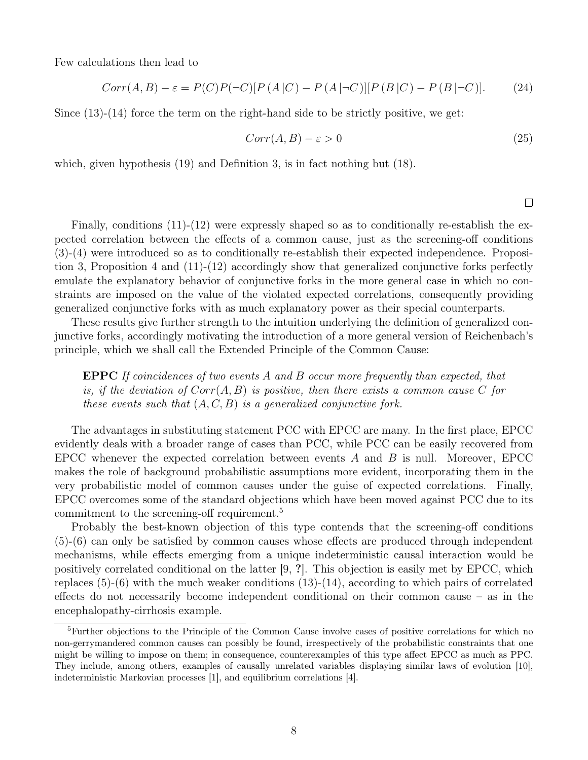Few calculations then lead to

$$
Corr(A, B) - \varepsilon = P(C)P(\neg C)[P(A|C) - P(A|\neg C)][P(B|C) - P(B|\neg C)].
$$
 (24)

Since  $(13)-(14)$  force the term on the right-hand side to be strictly positive, we get:

$$
Corr(A, B) - \varepsilon > 0 \tag{25}
$$

which, given hypothesis (19) and Definition 3, is in fact nothing but (18).

 $\Box$ 

Finally, conditions (11)-(12) were expressly shaped so as to conditionally re-establish the expected correlation between the effects of a common cause, just as the screening-off conditions (3)-(4) were introduced so as to conditionally re-establish their expected independence. Proposition 3, Proposition 4 and (11)-(12) accordingly show that generalized conjunctive forks perfectly emulate the explanatory behavior of conjunctive forks in the more general case in which no constraints are imposed on the value of the violated expected correlations, consequently providing generalized conjunctive forks with as much explanatory power as their special counterparts.

These results give further strength to the intuition underlying the definition of generalized conjunctive forks, accordingly motivating the introduction of a more general version of Reichenbach's principle, which we shall call the Extended Principle of the Common Cause:

EPPC If coincidences of two events A and B occur more frequently than expected, that is, if the deviation of  $Corr(A, B)$  is positive, then there exists a common cause C for these events such that  $(A, C, B)$  is a generalized conjunctive fork.

The advantages in substituting statement PCC with EPCC are many. In the first place, EPCC evidently deals with a broader range of cases than PCC, while PCC can be easily recovered from EPCC whenever the expected correlation between events  $A$  and  $B$  is null. Moreover, EPCC makes the role of background probabilistic assumptions more evident, incorporating them in the very probabilistic model of common causes under the guise of expected correlations. Finally, EPCC overcomes some of the standard objections which have been moved against PCC due to its commitment to the screening-off requirement.<sup>5</sup>

Probably the best-known objection of this type contends that the screening-off conditions (5)-(6) can only be satisfied by common causes whose effects are produced through independent mechanisms, while effects emerging from a unique indeterministic causal interaction would be positively correlated conditional on the latter [9, ?]. This objection is easily met by EPCC, which replaces  $(5)-(6)$  with the much weaker conditions  $(13)-(14)$ , according to which pairs of correlated effects do not necessarily become independent conditional on their common cause – as in the encephalopathy-cirrhosis example.

<sup>&</sup>lt;sup>5</sup>Further objections to the Principle of the Common Cause involve cases of positive correlations for which no non-gerrymandered common causes can possibly be found, irrespectively of the probabilistic constraints that one might be willing to impose on them; in consequence, counterexamples of this type affect EPCC as much as PPC. They include, among others, examples of causally unrelated variables displaying similar laws of evolution [10], indeterministic Markovian processes [1], and equilibrium correlations [4].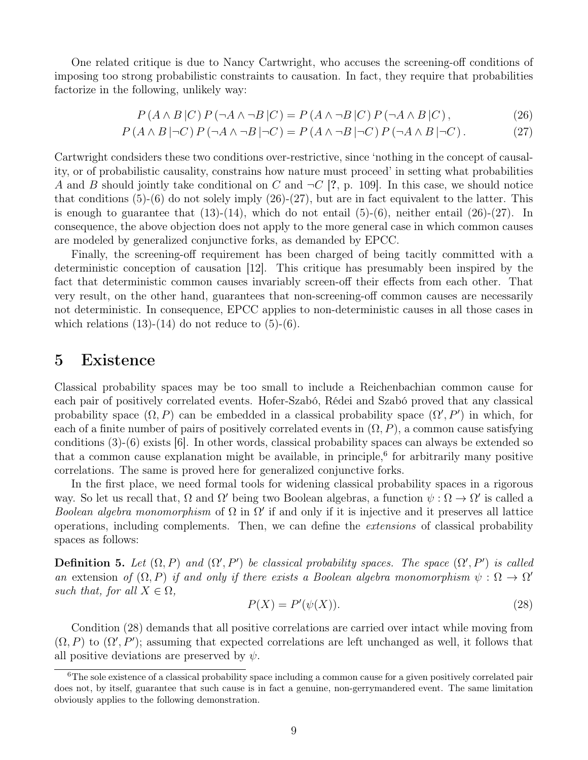One related critique is due to Nancy Cartwright, who accuses the screening-off conditions of imposing too strong probabilistic constraints to causation. In fact, they require that probabilities factorize in the following, unlikely way:

$$
P(A \wedge B|C) P(\neg A \wedge \neg B|C) = P(A \wedge \neg B|C) P(\neg A \wedge B|C), \qquad (26)
$$

$$
P(A \wedge B|\neg C) P(\neg A \wedge \neg B|\neg C) = P(A \wedge \neg B|\neg C) P(\neg A \wedge B|\neg C).
$$
 (27)

Cartwright condsiders these two conditions over-restrictive, since 'nothing in the concept of causality, or of probabilistic causality, constrains how nature must proceed' in setting what probabilities A and B should jointly take conditional on C and  $\neg C$  [?, p. 109]. In this case, we should notice that conditions  $(5)-(6)$  do not solely imply  $(26)-(27)$ , but are in fact equivalent to the latter. This is enough to guarantee that  $(13)-(14)$ , which do not entail  $(5)-(6)$ , neither entail  $(26)-(27)$ . In consequence, the above objection does not apply to the more general case in which common causes are modeled by generalized conjunctive forks, as demanded by EPCC.

Finally, the screening-off requirement has been charged of being tacitly committed with a deterministic conception of causation [12]. This critique has presumably been inspired by the fact that deterministic common causes invariably screen-off their effects from each other. That very result, on the other hand, guarantees that non-screening-off common causes are necessarily not deterministic. In consequence, EPCC applies to non-deterministic causes in all those cases in which relations  $(13)-(14)$  do not reduce to  $(5)-(6)$ .

#### 5 Existence

Classical probability spaces may be too small to include a Reichenbachian common cause for each pair of positively correlated events. Hofer-Szabó, Rédei and Szabó proved that any classical probability space  $(\Omega, P)$  can be embedded in a classical probability space  $(\Omega', P')$  in which, for each of a finite number of pairs of positively correlated events in  $(\Omega, P)$ , a common cause satisfying conditions (3)-(6) exists [6]. In other words, classical probability spaces can always be extended so that a common cause explanation might be available, in principle,<sup>6</sup> for arbitrarily many positive correlations. The same is proved here for generalized conjunctive forks.

In the first place, we need formal tools for widening classical probability spaces in a rigorous way. So let us recall that,  $\Omega$  and  $\Omega'$  being two Boolean algebras, a function  $\psi : \Omega \to \Omega'$  is called a Boolean algebra monomorphism of  $\Omega$  in  $\Omega'$  if and only if it is injective and it preserves all lattice operations, including complements. Then, we can define the extensions of classical probability spaces as follows:

**Definition 5.** Let  $(\Omega, P)$  and  $(\Omega', P')$  be classical probability spaces. The space  $(\Omega', P')$  is called an extension of  $(\Omega, P)$  if and only if there exists a Boolean algebra monomorphism  $\psi : \Omega \to \Omega'$ such that, for all  $X \in \Omega$ ,

$$
P(X) = P'(\psi(X)).\tag{28}
$$

Condition (28) demands that all positive correlations are carried over intact while moving from  $(\Omega, P)$  to  $(\Omega', P')$ ; assuming that expected correlations are left unchanged as well, it follows that all positive deviations are preserved by  $\psi$ .

<sup>6</sup>The sole existence of a classical probability space including a common cause for a given positively correlated pair does not, by itself, guarantee that such cause is in fact a genuine, non-gerrymandered event. The same limitation obviously applies to the following demonstration.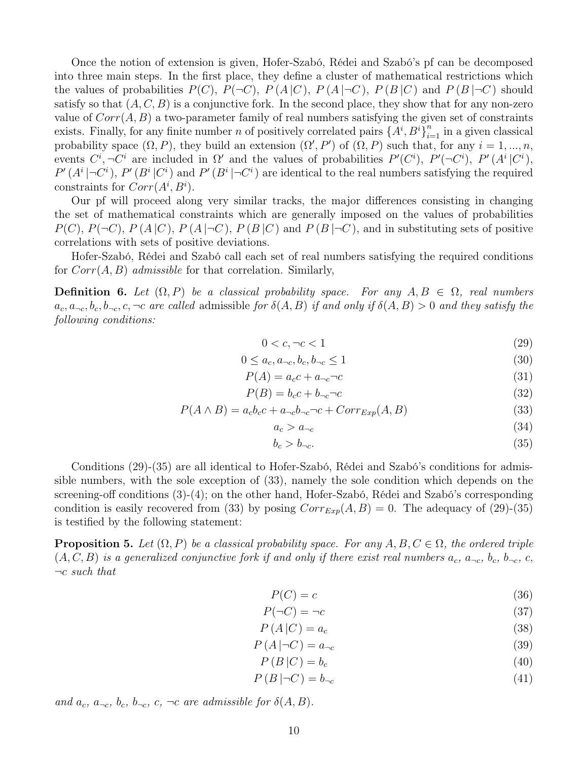Once the notion of extension is given, Hofer-Szabó, Rédei and Szabó's pf can be decomposed into three main steps. In the first place, they define a cluster of mathematical restrictions which the values of probabilities  $P(C)$ ,  $P(\neg C)$ ,  $P(A|C)$ ,  $P(A|\neg C)$ ,  $P(B|C)$  and  $P(B|\neg C)$  should satisfy so that  $(A, C, B)$  is a conjunctive fork. In the second place, they show that for any non-zero value of  $Corr(A, B)$  a two-parameter family of real numbers satisfying the given set of constraints exists. Finally, for any finite number n of positively correlated pairs  $\{A^i, B^i\}_{i=1}^n$  in a given classical probability space  $(\Omega, P)$ , they build an extension  $(\Omega', P')$  of  $(\Omega, P)$  such that, for any  $i = 1, ..., n$ , events  $C^i$ ,  $\neg C^i$  are included in  $\Omega'$  and the values of probabilities  $P'(C^i)$ ,  $P'(\neg C^i)$ ,  $P'(A^i|C^i)$ ,  $P'(A^i | \neg C^i)$ ,  $P'(B^i | C^i)$  and  $P'(B^i | \neg C^i)$  are identical to the real numbers satisfying the required constraints for  $Corr(A^i, B^i)$ .

Our pf will proceed along very similar tracks, the major differences consisting in changing the set of mathematical constraints which are generally imposed on the values of probabilities  $P(C), P(\neg C), P(A|C), P(A|\neg C), P(B|C)$  and  $P(B|\neg C)$ , and in substituting sets of positive correlations with sets of positive deviations.

Hofer-Szabó, Rédei and Szabó call each set of real numbers satisfying the required conditions for  $Corr(A, B)$  admissible for that correlation. Similarly,

**Definition 6.** Let  $(\Omega, P)$  be a classical probability space. For any  $A, B \in \Omega$ , real numbers  $a_c, a_{\neg c}, b_c, b_{\neg c}, c, \neg c$  are called admissible for  $\delta(A, B)$  if and only if  $\delta(A, B) > 0$  and they satisfy the following conditions:

$$
0 < c, \neg c < 1 \tag{29}
$$

$$
0 \le a_c, a_{\neg c}, b_c, b_{\neg c} \le 1 \tag{30}
$$

$$
P(A) = a_c c + a_{-c} \neg c \tag{31}
$$

$$
P(B) = b_c c + b_{\neg c} \neg c \tag{32}
$$

$$
P(A \wedge B) = a_c b_c c + a_{\neg c} b_{\neg c} \neg c + Corr_{Exp}(A, B)
$$
\n
$$
(33)
$$

$$
a_c > a_{\neg c} \tag{34}
$$

$$
b_c > b_{\neg c}.\tag{35}
$$

Conditions (29)-(35) are all identical to Hofer-Szabó, Rédei and Szabó's conditions for admissible numbers, with the sole exception of (33), namely the sole condition which depends on the screening-off conditions (3)-(4); on the other hand, Hofer-Szabó, Rédei and Szabó's corresponding condition is easily recovered from (33) by posing  $Corr_{Exp}(A, B) = 0$ . The adequacy of (29)-(35) is testified by the following statement:

**Proposition 5.** Let  $(\Omega, P)$  be a classical probability space. For any  $A, B, C \in \Omega$ , the ordered triple  $(A, C, B)$  is a generalized conjunctive fork if and only if there exist real numbers  $a_c, a_{\neg c}, b_c, b_{\neg c}, c,$  $\neg c$  such that

$$
P(C) = c \tag{36}
$$

$$
P(\neg C) = \neg c \tag{37}
$$

$$
P(A|C) = a_c \tag{38}
$$

$$
P(A|\neg C) = a_{\neg c} \tag{39}
$$

$$
P(B|C) = b_c \tag{40}
$$

$$
P(B|\neg C) = b_{\neg c} \tag{41}
$$

and  $a_c$ ,  $a_{\neg c}$ ,  $b_c$ ,  $b_{\neg c}$ ,  $c$ ,  $\neg c$  are admissible for  $\delta(A, B)$ .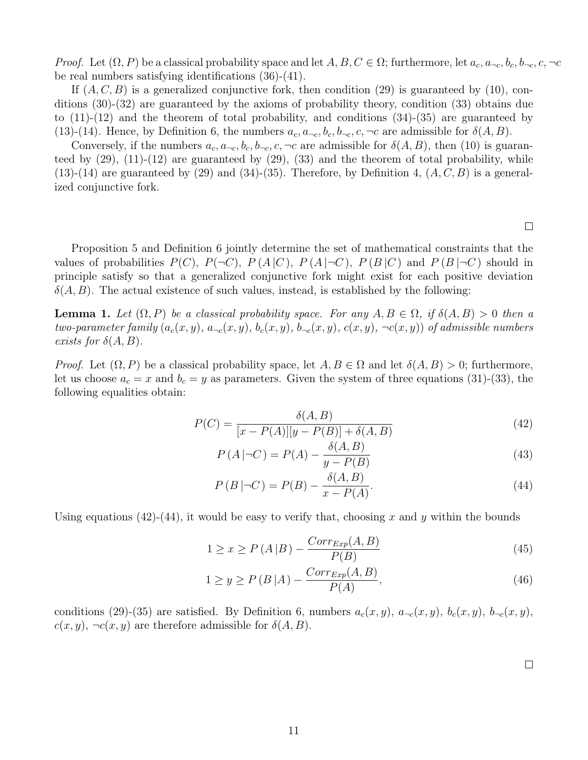*Proof.* Let  $(\Omega, P)$  be a classical probability space and let  $A, B, C \in \Omega$ ; furthermore, let  $a_c, a_{\neg c}, b_c, b_{\neg c}, c, \neg c$ be real numbers satisfying identifications (36)-(41).

If  $(A, C, B)$  is a generalized conjunctive fork, then condition (29) is guaranteed by (10), conditions (30)-(32) are guaranteed by the axioms of probability theory, condition (33) obtains due to  $(11)-(12)$  and the theorem of total probability, and conditions  $(34)-(35)$  are guaranteed by (13)-(14). Hence, by Definition 6, the numbers  $a_c, a_{\neg c}, b_c, b_{\neg c}, c, \neg c$  are admissible for  $\delta(A, B)$ .

Conversely, if the numbers  $a_c, a_{-c}, b_c, b_{-c}, c, \neg c$  are admissible for  $\delta(A, B)$ , then (10) is guaranteed by  $(29)$ ,  $(11)-(12)$  are guaranteed by  $(29)$ ,  $(33)$  and the theorem of total probability, while (13)-(14) are guaranteed by (29) and (34)-(35). Therefore, by Definition 4,  $(A, C, B)$  is a generalized conjunctive fork.

 $\Box$ 

Proposition 5 and Definition 6 jointly determine the set of mathematical constraints that the values of probabilities  $P(C)$ ,  $P(\neg C)$ ,  $P(A|C)$ ,  $P(A|\neg C)$ ,  $P(B|C)$  and  $P(B|\neg C)$  should in principle satisfy so that a generalized conjunctive fork might exist for each positive deviation  $\delta(A, B)$ . The actual existence of such values, instead, is established by the following:

**Lemma 1.** Let  $(\Omega, P)$  be a classical probability space. For any  $A, B \in \Omega$ , if  $\delta(A, B) > 0$  then a two-parameter family  $(a_c(x, y), a_{-c}(x, y), b_c(x, y), b_{-c}(x, y), c(x, y), \neg c(x, y))$  of admissible numbers exists for  $\delta(A, B)$ .

*Proof.* Let  $(\Omega, P)$  be a classical probability space, let  $A, B \in \Omega$  and let  $\delta(A, B) > 0$ ; furthermore, let us choose  $a_c = x$  and  $b_c = y$  as parameters. Given the system of three equations (31)-(33), the following equalities obtain:

$$
P(C) = \frac{\delta(A, B)}{[x - P(A)][y - P(B)] + \delta(A, B)}
$$
(42)

$$
P(A|\neg C) = P(A) - \frac{\delta(A, B)}{y - P(B)}\tag{43}
$$

$$
P(B|\neg C) = P(B) - \frac{\delta(A,B)}{x - P(A)}.\tag{44}
$$

Using equations (42)-(44), it would be easy to verify that, choosing x and y within the bounds

$$
1 \ge x \ge P(A|B) - \frac{Corr_{Exp}(A, B)}{P(B)}
$$
\n
$$
(45)
$$

$$
1 \ge y \ge P(B|A) - \frac{Corr_{Exp}(A, B)}{P(A)},\tag{46}
$$

conditions (29)-(35) are satisfied. By Definition 6, numbers  $a_c(x, y)$ ,  $a_{\neg c}(x, y)$ ,  $b_c(x, y)$ ,  $b_{\neg c}(x, y)$ ,  $c(x, y), \neg c(x, y)$  are therefore admissible for  $\delta(A, B)$ .

 $\Box$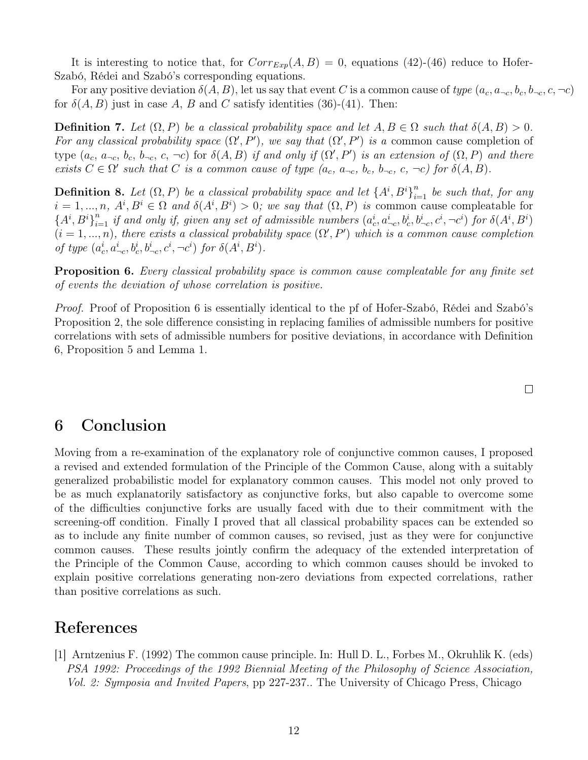It is interesting to notice that, for  $Corr_{Exp}(A, B) = 0$ , equations (42)-(46) reduce to Hofer-Szabó, Rédei and Szabó's corresponding equations.

For any positive deviation  $\delta(A, B)$ , let us say that event C is a common cause of type  $(a_c, a_{\neg c}, b_c, b_{\neg c}, c, \neg c)$ for  $\delta(A, B)$  just in case A, B and C satisfy identities (36)-(41). Then:

**Definition 7.** Let  $(\Omega, P)$  be a classical probability space and let  $A, B \in \Omega$  such that  $\delta(A, B) > 0$ . For any classical probability space  $(\Omega', P')$ , we say that  $(\Omega', P')$  is a common cause completion of type  $(a_c, a_{\neg c}, b_c, b_{\neg c}, c, \neg c)$  for  $\delta(A, B)$  if and only if  $(\Omega', P')$  is an extension of  $(\Omega, P)$  and there exists  $C \in \Omega'$  such that C is a common cause of type  $(a_c, a_{\neg c}, b_c, b_{\neg c}, c, \neg c)$  for  $\delta(A, B)$ .

**Definition 8.** Let  $(\Omega, P)$  be a classical probability space and let  $\{A^i, B^i\}_{i=1}^n$  be such that, for any  $i=1,...,n, A^i, B^i \in \Omega$  and  $\delta(A^i, B^i) > 0$ ; we say that  $(\Omega, P)$  is common cause compleatable for  ${A^i,B^i}_{i=1}^n$  if and only if, given any set of admissible numbers  $(a_c^i,a_{-c}^i,b_c^i,b_{-c}^i,c^i,-c^i)$  for  $\delta(A^i,B^i)$  $(i = 1, ..., n)$ , there exists a classical probability space  $(\Omega', P')$  which is a common cause completion of type  $(a_c^i, a_{\neg c}^i, b_c^i, b_{\neg c}^i, c^i, \neg c^i)$  for  $\delta(A^i, B^i)$ .

Proposition 6. Every classical probability space is common cause compleatable for any finite set of events the deviation of whose correlation is positive.

Proof. Proof of Proposition 6 is essentially identical to the pf of Hofer-Szabó, Rédei and Szabó's Proposition 2, the sole difference consisting in replacing families of admissible numbers for positive correlations with sets of admissible numbers for positive deviations, in accordance with Definition 6, Proposition 5 and Lemma 1.

 $\Box$ 

## 6 Conclusion

Moving from a re-examination of the explanatory role of conjunctive common causes, I proposed a revised and extended formulation of the Principle of the Common Cause, along with a suitably generalized probabilistic model for explanatory common causes. This model not only proved to be as much explanatorily satisfactory as conjunctive forks, but also capable to overcome some of the difficulties conjunctive forks are usually faced with due to their commitment with the screening-off condition. Finally I proved that all classical probability spaces can be extended so as to include any finite number of common causes, so revised, just as they were for conjunctive common causes. These results jointly confirm the adequacy of the extended interpretation of the Principle of the Common Cause, according to which common causes should be invoked to explain positive correlations generating non-zero deviations from expected correlations, rather than positive correlations as such.

#### References

[1] Arntzenius F. (1992) The common cause principle. In: Hull D. L., Forbes M., Okruhlik K. (eds) PSA 1992: Proceedings of the 1992 Biennial Meeting of the Philosophy of Science Association, Vol. 2: Symposia and Invited Papers, pp 227-237.. The University of Chicago Press, Chicago